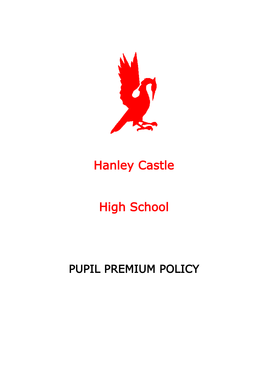

# Hanley Castle

# High School

# PUPIL PREMIUM POLICY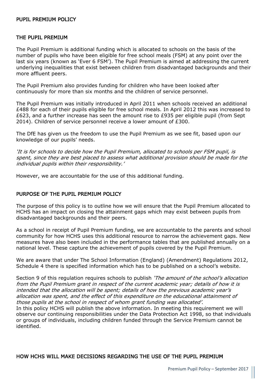#### PUPIL PREMIUM POLICY

#### THE PUPIL PREMIUM

The Pupil Premium is additional funding which is allocated to schools on the basis of the number of pupils who have been eligible for free school meals (FSM) at any point over the last six years (known as 'Ever 6 FSM'). The Pupil Premium is aimed at addressing the current underlying inequalities that exist between children from disadvantaged backgrounds and their more affluent peers.

The Pupil Premium also provides funding for children who have been looked after continuously for more than six months and the children of service personnel.

The Pupil Premium was initially introduced in April 2011 when schools received an additional £488 for each of their pupils eligible for free school meals. In April 2012 this was increased to £623, and a further increase has seen the amount rise to £935 per eligible pupil (from Sept 2014). Children of service personnel receive a lower amount of £300.

The DfE has given us the freedom to use the Pupil Premium as we see fit, based upon our knowledge of our pupils' needs.

'It is for schools to decide how the Pupil Premium, allocated to schools per FSM pupil, is spent, since they are best placed to assess what additional provision should be made for the individual pupils within their responsibility.'

However, we are accountable for the use of this additional funding.

# PURPOSE OF THE PUPIL PREMIUM POLICY

The purpose of this policy is to outline how we will ensure that the Pupil Premium allocated to HCHS has an impact on closing the attainment gaps which may exist between pupils from disadvantaged backgrounds and their peers.

As a school in receipt of Pupil Premium funding, we are accountable to the parents and school community for how HCHS uses this additional resource to narrow the achievement gaps. New measures have also been included in the performance tables that are published annually on a national level. These capture the achievement of pupils covered by the Pupil Premium.

We are aware that under The School Information (England) (Amendment) Regulations 2012, Schedule 4 there is specified information which has to be published on a school's website.

Section 9 of this regulation requires schools to publish 'The amount of the school's allocation from the Pupil Premium grant in respect of the current academic year; details of how it is intended that the allocation will be spent; details of how the previous academic year's allocation was spent, and the effect of this expenditure on the educational attainment of those pupils at the school in respect of whom grant funding was allocated'.

In this policy HCHS will publish the above information. In meeting this requirement we will observe our continuing responsibilities under the Data Protection Act 1998, so that individuals or groups of individuals, including children funded through the Service Premium cannot be identified.

# HOW HCHS WILL MAKE DECISIONS REGARDING THE USE OF THE PUPIL PREMIUM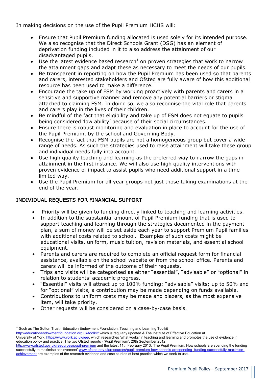In making decisions on the use of the Pupil Premium HCHS will:

- Ensure that Pupil Premium funding allocated is used solely for its intended purpose. We also recognise that the Direct Schools Grant (DSG) has an element of deprivation funding included in it to also address the attainment of our disadvantaged pupils.
- Use the latest evidence based research<sup>1</sup> on proven strategies that work to narrow the attainment gaps and adapt these as necessary to meet the needs of our pupils.
- Be transparent in reporting on how the Pupil Premium has been used so that parents and carers, interested stakeholders and Ofsted are fully aware of how this additional resource has been used to make a difference.
- Encourage the take up of FSM by working proactively with parents and carers in a sensitive and supportive manner and remove any potential barriers or stigma attached to claiming FSM. In doing so, we also recognise the vital role that parents and carers play in the lives of their children.
- Be mindful of the fact that eligibility and take up of FSM does not equate to pupils being considered 'low ability' because of their social circumstances.
- Ensure there is robust monitoring and evaluation in place to account for the use of the Pupil Premium, by the school and Governing Body.
- Recognise the fact that FSM pupils are not a homogeneous group but cover a wide range of needs. As such the strategies used to raise attainment will take these group and individual needs fully into account.
- Use high quality teaching and learning as the preferred way to narrow the gaps in attainment in the first instance. We will also use high quality interventions with proven evidence of impact to assist pupils who need additional support in a time limited way.
- Use the Pupil Premium for all year groups not just those taking examinations at the end of the year.

# INDIVIDUAL REQUESTS FOR FINANCIAL SUPPORT

- Priority will be given to funding directly linked to teaching and learning activities.
- In addition to the substantial amount of Pupil Premium funding that is used to support teaching and learning through the strategies documented in the payment plan, a sum of money will be set aside each year to support Premium Pupil families with additional costs related to school. Examples of such costs might be educational visits, uniform, music tuition, revision materials, and essential school equipment.
- Parents and carers are required to complete an official request form for financial assistance, available on the school website or from the school office. Parents and carers will be informed of the outcome of their requests.
- Trips and visits will be categorised as either "essential", "advisable" or "optional" in relation to students' academic progress.
- "Essential" visits will attract up to 100% funding; "advisable" visits; up to 50% and for "optional" visits, a contribution may be made depending on funds available.
- Contributions to uniform costs may be made and blazers, as the most expensive item, will take priority.
- Other requests will be considered on a case-by-case basis.

**.** 

<http://educationendowmentfoundation.org.uk/toolkit/> which is regularly updated & The Institute of Effective Education at

University of York, [https://www.york.ac.uk/iee/,](https://www.york.ac.uk/iee/) which researches 'what works' in teaching and learning and promotes the use of evidence in education policy and practice. The two Ofsted reports – 'Pupil Premium', 20th September 2012,

 $^{1}$  Such as The Sutton Trust - Education Endowment Foundation, Teaching and Learning Toolkit

[http://www.ofsted.gov.uk/resources/pupil](http://www.ofsted.gov.uk/resources/pupil‐premium)-premium and the latest 11th February 2013, 'The Pupil Premium: How schools are spending the funding successfully to maximise achievement' [www.ofsted.gov.uk/resources/pupil](http://www.ofsted.gov.uk/resources/pupil‐premium‐how‐schools‐arespending‐)-premium-how-schools-arespending-funding-successfully-maximiseachievement are examples of the research evidence and case studies of best practice which we seek to use.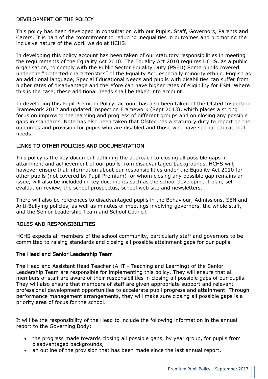# DEVELOPMENT OF THE POLICY

This policy has been developed in consultation with our Pupils, Staff, Governors, Parents and Carers. It is part of the commitment to reducing inequalities in outcomes and promoting the inclusive nature of the work we do at HCHS.

In developing this policy account has been taken of our statutory responsibilities in meeting the requirements of the Equality Act 2010. The Equality Act 2010 requires HCHS, as a public organisation, to comply with the Public Sector Equality Duty (PSED) Some pupils covered under the "protected characteristics" of the Equality Act, especially minority ethnic, English as an additional language, Special Educational Needs and pupils with disabilities can suffer from higher rates of disadvantage and therefore can have higher rates of eligibility for FSM. Where this is the case, these additional needs shall be taken into account.

In developing this Pupil Premium Policy, account has also been taken of the Ofsted Inspection Framework 2012 and updated Inspection Framework (Sept 2013), which places a strong focus on improving the learning and progress of different groups and on closing any possible gaps in standards. Note has also been taken that Ofsted has a statutory duty to report on the outcomes and provision for pupils who are disabled and those who have special educational needs.

# LINKS TO OTHER POLICIES AND DOCUMENTATION

This policy is the key document outlining the approach to closing all possible gaps in attainment and achievement of our pupils from disadvantaged backgrounds. HCHS will, however ensure that information about our responsibilities under the Equality Act 2010 for other pupils (not covered by Pupil Premium) for whom closing any possible gap remains an issue, will also be included in key documents such as the school development plan, selfevaluation review, the school prospectus, school web site and newsletters.

There will also be references to disadvantaged pupils in the Behaviour, Admissions, SEN and Anti-Bullying policies, as well as minutes of meetings involving governors, the whole staff, and the Senior Leadership Team and School Council.

#### ROLES AND RESPONSIBILITIES

HCHS expects all members of the school community, particularly staff and governors to be committed to raising standards and closing all possible attainment gaps for our pupils.

#### The Head and Senior Leadership Team

The Head and Assistant Head Teacher (AHT - Teaching and Learning) of the Senior Leadership Team are responsible for implementing this policy. They will ensure that all members of staff are aware of their responsibilities in closing all possible gaps of our pupils. They will also ensure that members of staff are given appropriate support and relevant professional development opportunities to accelerate pupil progress and attainment. Through performance management arrangements, they will make sure closing all possible gaps is a priority area of focus for the school.

It will be the responsibility of the Head to include the following information in the annual report to the Governing Body:

- the progress made towards closing all possible gaps, by year group, for pupils from disadvantaged backgrounds,
- an outline of the provision that has been made since the last annual report,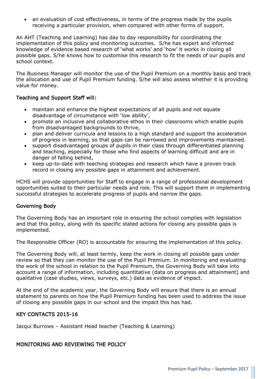• an evaluation of cost effectiveness, in terms of the progress made by the pupils receiving a particular provision, when compared with other forms of support.

An AHT (Teaching and Learning) has day to day responsibility for coordinating the implementation of this policy and monitoring outcomes. S/he has expert and informed knowledge of evidence based research of 'what works' and 'how' it works in closing all possible gaps. S/he knows how to customise this research to fit the needs of our pupils and school context.

The Business Manager will monitor the use of the Pupil Premium on a monthly basis and track the allocation and use of Pupil Premium funding. S/he will also assess whether it is providing value for money.

# Teaching and Support Staff will:

- maintain and enhance the highest expectations of all pupils and not equate disadvantage of circumstance with 'low ability',
- promote an inclusive and collaborative ethos in their classrooms which enable pupils from disadvantaged backgrounds to thrive,
- plan and deliver curricula and lessons to a high standard and support the acceleration of progress in learning, so that gaps can be narrowed and improvements maintained.
- support disadvantaged groups of pupils in their class through differentiated planning and teaching, especially for those who find aspects of learning difficult and are in danger of falling behind,
- keep up-to-date with teaching strategies and research which have a proven track record in closing any possible gaps in attainment and achievement.

HCHS will provide opportunities for Staff to engage in a range of professional development opportunities suited to their particular needs and role. This will support them in implementing successful strategies to accelerate progress of pupils and narrow the gaps.

# Governing Body

The Governing Body has an important role in ensuring the school complies with legislation and that this policy, along with its specific stated actions for closing any possible gaps is implemented.

The Responsible Officer (RO) is accountable for ensuring the implementation of this policy.

The Governing Body will, at least termly, keep the work in closing all possible gaps under review so that they can monitor the use of the Pupil Premium. In monitoring and evaluating the work of the school in relation to the Pupil Premium, the Governing Body will take into account a range of information, including quantitative (data on progress and attainment) and qualitative (case studies, views, surveys, etc.) data as evidence of impact.

At the end of the academic year, the Governing Body will ensure that there is an annual statement to parents on how the Pupil Premium funding has been used to address the issue of closing any possible gaps in our school and the impact this has had.

# KEY CONTACTS 2015-16

Jacqui Burrows – Assistant Head teacher (Teaching & Learning)

# MONITORING AND REVIEWING THE POLICY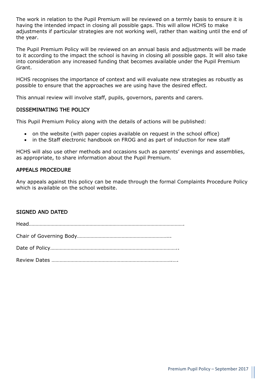The work in relation to the Pupil Premium will be reviewed on a termly basis to ensure it is having the intended impact in closing all possible gaps. This will allow HCHS to make adjustments if particular strategies are not working well, rather than waiting until the end of the year.

The Pupil Premium Policy will be reviewed on an annual basis and adjustments will be made to it according to the impact the school is having in closing all possible gaps. It will also take into consideration any increased funding that becomes available under the Pupil Premium Grant.

HCHS recognises the importance of context and will evaluate new strategies as robustly as possible to ensure that the approaches we are using have the desired effect.

This annual review will involve staff, pupils, governors, parents and carers.

# DISSEMINATING THE POLICY

This Pupil Premium Policy along with the details of actions will be published:

- on the website (with paper copies available on request in the school office)
- in the Staff electronic handbook on FROG and as part of induction for new staff

HCHS will also use other methods and occasions such as parents' evenings and assemblies, as appropriate, to share information about the Pupil Premium.

# APPEALS PROCEDURE

Any appeals against this policy can be made through the formal Complaints Procedure Policy which is available on the school website.

# SIGNED AND DATED

Head…………………………………………………………………………………………………….

Chair of Governing Body…………………………………………………………...

Date of Policy…………………………………………………………………………………..

Review Dates ……………………………………………………………………………..….